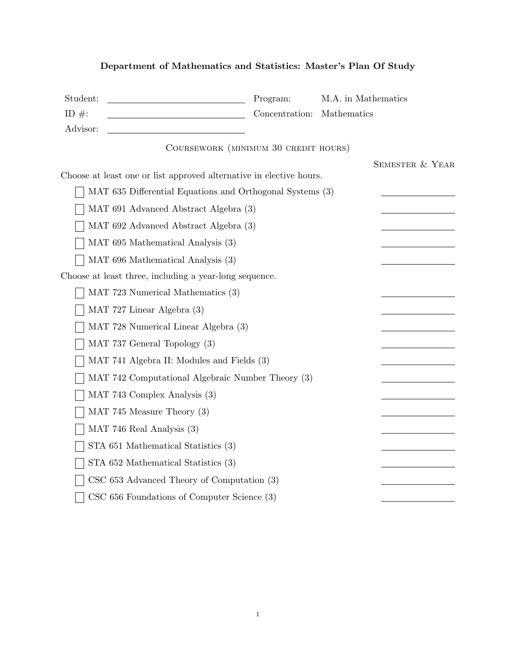## Department of Mathematics and Statistics: Master's Plan Of Study

| Student:                                                            | Program:       | M.A. in Mathematics |
|---------------------------------------------------------------------|----------------|---------------------|
| ID $\#$ :<br><u> 1980 - Johann Barbara, martxa alemaniar a</u>      | Concentration: | Mathematics         |
| Advisor:                                                            |                |                     |
| COURSEWORK (MINIMUM 30 CREDIT HOURS)                                |                |                     |
|                                                                     |                | SEMESTER & YEAR     |
| Choose at least one or list approved alternative in elective hours. |                |                     |
| MAT 635 Differential Equations and Orthogonal Systems (3)           |                |                     |
| MAT 691 Advanced Abstract Algebra (3)                               |                |                     |
| MAT 692 Advanced Abstract Algebra (3)                               |                |                     |
| MAT 695 Mathematical Analysis (3)                                   |                |                     |
| MAT 696 Mathematical Analysis (3)                                   |                |                     |
| Choose at least three, including a year-long sequence.              |                |                     |
| MAT 723 Numerical Mathematics (3)                                   |                |                     |
| MAT 727 Linear Algebra (3)                                          |                |                     |
| MAT 728 Numerical Linear Algebra (3)                                |                |                     |
| MAT 737 General Topology (3)                                        |                |                     |
| MAT 741 Algebra II: Modules and Fields (3)                          |                |                     |
| MAT 742 Computational Algebraic Number Theory (3)                   |                |                     |
| MAT 743 Complex Analysis (3)                                        |                |                     |
| MAT 745 Measure Theory $(3)$                                        |                |                     |
| MAT 746 Real Analysis (3)                                           |                |                     |
| STA 651 Mathematical Statistics (3)                                 |                |                     |
| STA 652 Mathematical Statistics (3)                                 |                |                     |
| $\text{CSC } 653$ Advanced Theory of Computation $(3)$              |                |                     |
| CSC 656 Foundations of Computer Science (3)                         |                |                     |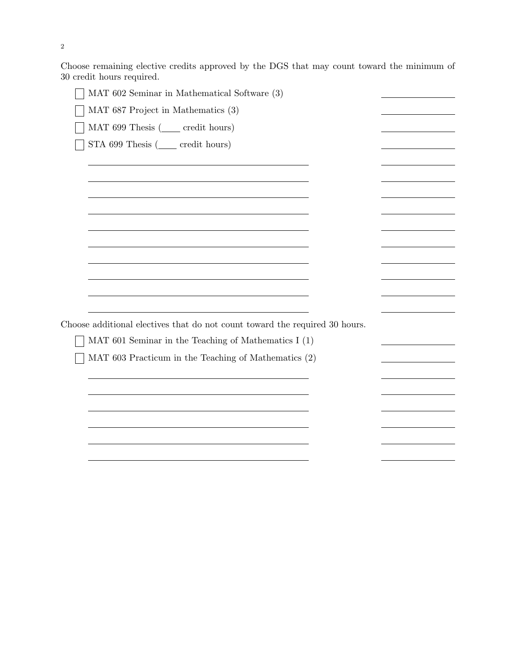Choose remaining elective credits approved by the DGS that may count toward the minimum of 30 credit hours required.

| MAT 602 Seminar in Mathematical Software (3)                                                                                         |  |
|--------------------------------------------------------------------------------------------------------------------------------------|--|
| MAT 687 Project in Mathematics (3)                                                                                                   |  |
| MAT 699 Thesis (_____ credit hours)                                                                                                  |  |
| STA 699 Thesis (_____ credit hours)                                                                                                  |  |
|                                                                                                                                      |  |
|                                                                                                                                      |  |
|                                                                                                                                      |  |
|                                                                                                                                      |  |
|                                                                                                                                      |  |
|                                                                                                                                      |  |
|                                                                                                                                      |  |
|                                                                                                                                      |  |
|                                                                                                                                      |  |
|                                                                                                                                      |  |
| Choose additional electives that do not count toward the required 30 hours.<br>MAT 601 Seminar in the Teaching of Mathematics $I(1)$ |  |
| MAT 603 Practicum in the Teaching of Mathematics (2)                                                                                 |  |
|                                                                                                                                      |  |
|                                                                                                                                      |  |
|                                                                                                                                      |  |
|                                                                                                                                      |  |
|                                                                                                                                      |  |
|                                                                                                                                      |  |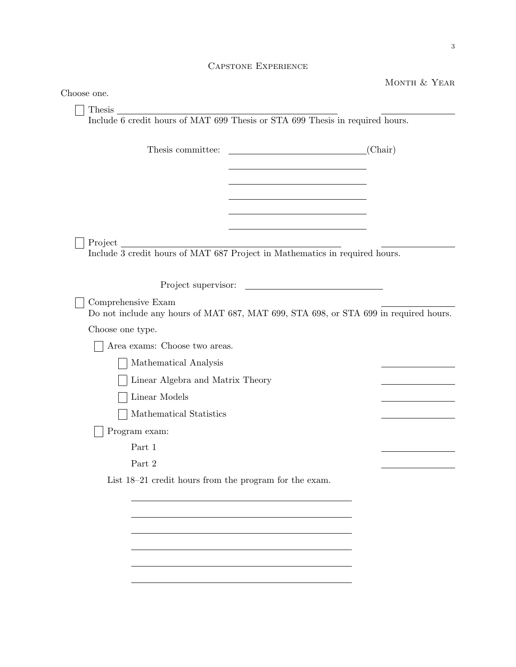## Capstone Experience

|                                                                                                                                                                                                                                                                                                                 | MONTH & YEAR |
|-----------------------------------------------------------------------------------------------------------------------------------------------------------------------------------------------------------------------------------------------------------------------------------------------------------------|--------------|
| Choose one.                                                                                                                                                                                                                                                                                                     |              |
| Thesis experience and the set of the set of the set of the set of the set of the set of the set of the set of the set of the set of the set of the set of the set of the set of the set of the set of the set of the set of th<br>Include 6 credit hours of MAT 699 Thesis or STA 699 Thesis in required hours. |              |
|                                                                                                                                                                                                                                                                                                                 |              |
| Thesis committee:<br><u> 1989 - Andrea Station, amerikansk politik (</u>                                                                                                                                                                                                                                        | (Chair)      |
|                                                                                                                                                                                                                                                                                                                 |              |
|                                                                                                                                                                                                                                                                                                                 |              |
|                                                                                                                                                                                                                                                                                                                 |              |
| Project<br>Include 3 credit hours of MAT 687 Project in Mathematics in required hours.                                                                                                                                                                                                                          |              |
|                                                                                                                                                                                                                                                                                                                 |              |
| Comprehensive Exam<br>Do not include any hours of MAT 687, MAT 699, STA 698, or STA 699 in required hours.                                                                                                                                                                                                      |              |
| Choose one type.                                                                                                                                                                                                                                                                                                |              |
| Area exams: Choose two areas.                                                                                                                                                                                                                                                                                   |              |
| Mathematical Analysis                                                                                                                                                                                                                                                                                           |              |
| Linear Algebra and Matrix Theory                                                                                                                                                                                                                                                                                |              |
| Linear Models                                                                                                                                                                                                                                                                                                   |              |
| Mathematical Statistics                                                                                                                                                                                                                                                                                         |              |
| Program exam:                                                                                                                                                                                                                                                                                                   |              |
| Part 1                                                                                                                                                                                                                                                                                                          |              |
| Part $2\,$                                                                                                                                                                                                                                                                                                      |              |
| List 18-21 credit hours from the program for the exam.                                                                                                                                                                                                                                                          |              |
|                                                                                                                                                                                                                                                                                                                 |              |
|                                                                                                                                                                                                                                                                                                                 |              |
|                                                                                                                                                                                                                                                                                                                 |              |

<u> 1989 - Johann Barbara, martxa amerikan personal (</u>